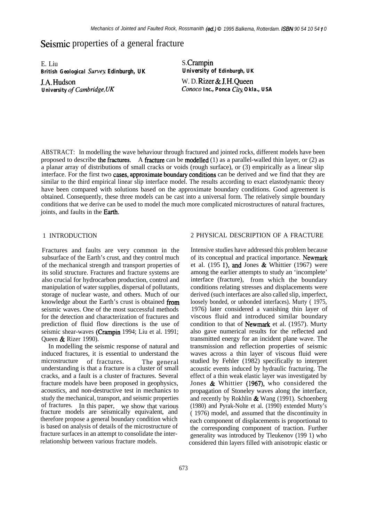# Seismic properties of a general fracture

E. Liu *British Geological Survey Edinburgh, UK* J.A. Hudson

*University of Cambridge, UK*

S. Crampin *University of Edinburgh, UK* W. D. Rizer & J. H.Queen *Conoco Inc., Ponca Cig Okla., USA*

ABSTRACT: In modelling the wave behaviour through fractured and jointed rocks, different models have been proposed to describe the fractures. A fracture can be modelled  $(1)$  as a parallel-walled thin layer, or  $(2)$  as a planar array of distributions of small cracks or voids (rough surface), or (3) empirically as a linear slip interface. For the first two cases, approximate boundary conditions can be derived and we find that they are similar to the third empirical linear slip interface model. The results according to exact elastodynamic theory have been compared with solutions based on the approximate boundary conditions. Good agreement is obtained. Consequently, these three models can be cast into a universal form. The relatively simple boundary conditions that we derive can be used to model the much more complicated microstructures of natural fractures, joints, and faults in the Earth.

Fractures and faults are very common in the subsurface of the Earth's crust, and they control much of the mechanical strength and transport properties of its solid structure. Fractures and fracture systems are also crucial for hydrocarbon production, control and manipulation of water supplies, dispersal of pollutants, storage of nuclear waste, and others. Much of our knowledge about the Earth's crust is obtained from seismic waves. One of the most successful methods for the detection and characterization of fractures and prediction of fluid flow directions is the use of seismic shear-waves (Crampin 1994; Liu et al. 1991; Queen & Rizer 1990).

In modelling the seismic response of natural and induced fractures, it is essential to understand the microstructure of fractures. The general understanding is that a fracture is a cluster of small cracks, and a fault is a cluster of fractures. Several fracture models have been proposed in geophysics, acoustics, and non-destructive test in mechanics to study the mechanical, transport, and seismic properties of fractures. In this paper, we show that various fracture models are seismically equivalent, and therefore propose a general boundary condition which is based on analysis of details of the microstructure of fracture surfaces in an attempt to consolidate the interrelationship between various fracture models.

### 1 INTRODUCTION 2 PHYSICAL DESCRIPTION OF A FRACTURE

Intensive studies have addressed this problem because of its conceptual and practical importance. Newmark et al. (195 1), and Jones & Whittier (1967) were among the earlier attempts to study an 'incomplete' interface (fracture), from which the boundary conditions relating stresses and displacements were derived (such interfaces are also called slip, imperfect, loosely bonded, or unbonded interfaces). Murty ( 1975, 1976) later considered a vanishing thin layer of viscous fluid and introduced similar boundary condition to that of Newmark et al. (1957). Murty also gave numerical results for the reflected and transmitted energy for an incident plane wave. The transmission and reflection properties of seismic waves across a thin layer of viscous fluid were studied by Fehler (1982) specifically to interpret acoustic events induced by hydraulic fracturing. The effect of a thin weak elastic layer was investigated by Jones & Whittier (1967), who considered the propagation of Stoneley waves along the interface, and recently by Rokhlin  $\&$  Wang (1991). Schoenberg (1980) and Pyrak-Nolte et al. (1990) extended Murty's ( 1976) model, and assumed that the discontinuity in each component of displacements is proportional to the corresponding component of traction. Further generality was introduced by Tleukenov (199 1) who considered thin layers filled with anisotropic elastic or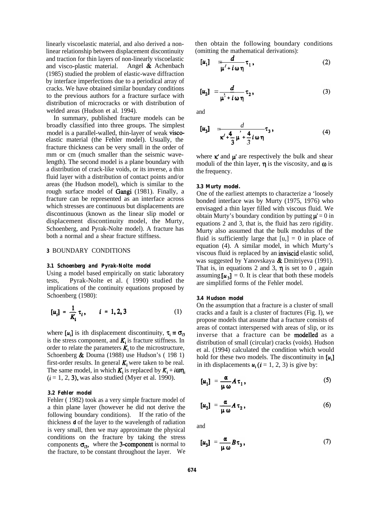linearly viscoelastic material, and also derived a nonlinear relationship between displacement discontinuity and traction for thin layers of non-linearly viscoelastic and visco-plastic material. Angel & Achenbach (1985) studied the problem of elastic-wave diffraction by interface imperfections due to a periodical array of cracks. We have obtained similar boundary conditions to the previous authors for a fracture surface with distribution of microcracks or with distribution of welded areas (Hudson et al. 1994).

In summary, published fracture models can be broadly classified into three groups. The simplest model is a parallel-walled, thin-layer of weak viscoelastic material (the Fehler model). Usually, the fracture thickness can be very small in the order of mm or cm (much smaller than the seismic wavelength). The second model is a plane boundary with a distribution of crack-like voids, or its inverse, a thin fluid layer with a distribution of contact points and/or areas (the Hudson model), which is similar to the rough surface model of Gangi (1981). Finally, a fracture can be represented as an interface across which stresses are continuous but displacements are discontinuous (known as the linear slip model or displacement discontinuity model, the Murty, Schoenberg, and Pyrak-Nolte model). A fracture has both a normal and a shear fracture stiffness.

# *3* BOUNDARY CONDITIONS

#### *3.1 Schoenberg and Pyrak-Nolte model*

Using a model based empirically on static laboratory tests, Pyrak-Nolte et al. ( 1990) studied the implications of the continuity equations proposed by Schoenberg (1980):

$$
[u_i] = \frac{1}{K_i} \tau_i, \qquad i = 1, 2, 3 \tag{1}
$$

where  $[u_i]$  is ith displacement discontinuity,  $\tau_i = \sigma_{i3}$ is the stress component, and  $K_i$  is fracture stiffness. In order to relate the parameters  $K_i$  to the microstructure, Schoenberg & Douma (1988) use Hudson's ( 198 1) first-order results. In general  $K_i$  were taken to be real. The same model, in which  $K_i$  is replaced by  $K_i + i\omega \eta_i$  $(i = 1, 2, 3)$ , was also studied (Myer et al. 1990).

#### *3.2 Fehler model*

Fehler ( 1982) took as a very simple fracture model of a thin plane layer (however he did not derive the following boundary conditions). If the ratio of the thickness *d* of the layer to the wavelength of radiation is very small, then we may approximate the physical conditions on the fracture by taking the stress components  $\sigma_{i3}$ , where the 3-component is normal to the fracture, to be constant throughout the layer. We then obtain the following boundary conditions (omitting the mathematical derivations):

$$
[u_1] = \frac{d}{\mu' + i \omega \eta} \tau_1,
$$
 (2)

$$
[u_2] = \frac{d}{\mu^2 + i \omega \eta} \tau_2, \qquad (3)
$$

and

$$
\begin{array}{lll}\n\left[\mu_{3}\right] & \frac{d}{\pi/4 + \frac{4}{3}\mu + \frac{4}{3}i\omega\eta}\tau_{3},\n\end{array} \tag{4}
$$

where  $\kappa$  and  $\mu$  are respectively the bulk and shear moduli of the thin layer,  $\eta$  is the viscosity, and  $\omega$  is the frequency.

#### *3.3 Murty model.*

One of the earliest attempts to characterize a 'loosely bonded interface was by Murty (1975, 1976) who envisaged a thin layer filled with viscous fluid. We obtain Murty's boundary condition by putting  $\mu = 0$  in equations 2 and 3, that is, the fluid has zero rigidity. Murty also assumed that the bulk modulus of the fluid is sufficiently large that  $[u<sub>n</sub>] = 0$  in place of equation (4). A similar model, in which Murty's viscous fluid is replaced by an inviscid elastic solid, was suggested by Yanovskaya & Dmitriyeva (1991). That is, in equations 2 and 3,  $\eta$  is set to 0, again assuming  $[u_3] = 0$ . It is clear that both these models are simplified forms of the Fehler model.

# *3.4 Hudson model*

On the assumption that a fracture is a cluster of small cracks and a fault is a cluster of fractures (Fig. I), we propose models that assume that a fracture consists of areas of contact interspersed with areas of slip, or its inverse that a fracture can be modelled as a distribution of small (circular) cracks (voids). Hudson et al. (1994) calculated the condition which would hold for these two models. The discontinuity in  $[u_i]$ in ith displacements  $u_i$  ( $i = 1, 2, 3$ ) is give by:

$$
[\mu_1] = \frac{\alpha}{\mu \omega} A \tau_1, \qquad (5)
$$

$$
[u_2] = \frac{\alpha}{\mu \omega} A \tau_2, \qquad (6)
$$

and

$$
[u_3] = \frac{\alpha}{\mu \omega} B \tau_3, \qquad (7)
$$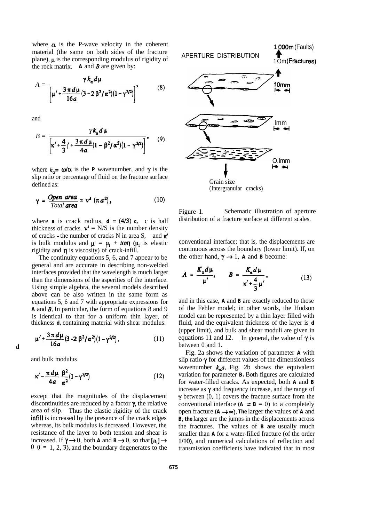where  $\alpha$  is the P-wave velocity in the coherent material (the same on both sides of the fracture plane),  $\mu$  is the corresponding modulus of rigidity of the rock matrix.  $\boldsymbol{A}$  and  $\boldsymbol{B}$  are given by:

$$
A = \frac{\gamma k_{\alpha} d\mu}{\left[\mu' + \frac{3 \pi d \mu}{16a} (3 - 2 \beta^2 / \alpha^2) (1 - \gamma^{3/2})\right]},
$$
 (8)

and

$$
B = \frac{Y k_{\alpha} d \mu}{\left[\kappa' + \frac{4}{3} \left(1 + \frac{3 \pi d \mu}{4a} (1 - \beta^2 / \alpha^2) (1 - \gamma^{3/2})\right]\right]}, \quad (9)
$$

where  $k_{\alpha} = \omega/\alpha$  is the *P* wavenumber, and  $\gamma$  is the slip ratio or percentage of fluid on the fracture surface defined as:

$$
\gamma = \frac{\text{Open area}}{\text{Total area}} = v^s \left( \pi a^2 \right), \tag{10}
$$

where **a** is crack radius,  $d = (4/3)$  **c**, c is half thickness of cracks.  $v^s = N/S$  is the number density of cracks - the number of cracks N in area S, and  $\kappa'$ is bulk modulus and  $\mu' = \mu_f + i\omega \eta$  ( $\mu_f$  is elastic rigidity and  $\eta$  is viscosity) of crack-infill.

The continuity equations 5, 6, and 7 appear to be general and are accurate in describing non-welded interfaces provided that the wavelength is much larger than the dimensions of the asperities of the interface. Using simple algebra, the several models described above can be also written in the same form as equations 5, 6 and 7 with appropriate expressions for *A* and B. In particular, the form of equations 8 and 9 is identical to that for a uniform thin layer, of thickness *d,* containing material with shear modulus:

$$
\mu' + \frac{3 \pi d \mu}{16 a} (3 - 2 \beta^2 / \alpha^2) (1 - \gamma^{3/2}), \qquad (11)
$$

and bulk modulus

 $\mathbf d$ 

$$
\kappa' - \frac{\pi d\mu}{4a} \frac{\beta^2}{\alpha^2} (1 - \gamma^{3/2})
$$
 (12)

except that the magnitudes of the displacement discontinuities are reduced by a factor  $\gamma$ , the relative area of slip. Thus the elastic rigidity of the crack infill is increased by the presence of the crack edges whereas, its bulk modulus is decreased. However, the resistance of the layer to both tension and shear is increased. If  $\gamma \rightarrow 0$ , both *A* and *B* $\rightarrow 0$ , so that  $[u_i] \rightarrow$ 0 *(i =* 1, 2, 3), and the boundary degenerates to the



Figure 1. Schematic illustration of aperture distribution of a fracture surface at different scales.

conventional interface; that is, the displacements are continuous across the boundary (lower limit). If, on the other hand,  $\gamma \rightarrow 1$ , **A** and **B** become:

$$
A = \frac{K_{\alpha}d\mu}{\mu'}, \qquad B = \frac{K_{\alpha}d\mu}{\kappa' + \frac{4}{3}\mu'}, \tag{13}
$$

and in this case, *A* and *B* are exactly reduced to those of the Fehler model; in other words, the Hudson model can be represented by a thin layer filled with fluid, and the equivalent thickness of the layer is *d* (upper limit), and bulk and shear moduli are given in equations 11 and 12. In general, the value of  $\gamma$  is between 0 and 1.

Fig. 2a shows the variation of parameter *A* with slip ratio  $\gamma$  for different values of the dimensionless wavenumber  $k_a a$ . Fig. 2b shows the equivalent variation for parameter *B.* Both figures are calculated for water-filled cracks. As expected, both *A* and *B* increase as  $\gamma$  and frequency increase, and the range of  $\gamma$  between  $(0, 1)$  covers the fracture surface from the conventional interface  $(A = B = 0)$  to a completely open fracture *(A +-). The* larger the values of *A* and *B, the larger are the jumps in the displacements across* the fractures. The values of *B are* usually much smaller than *A* for a water-filled fracture (of the order l/10), and numerical calculations of reflection and transmission coefficients have indicated that in most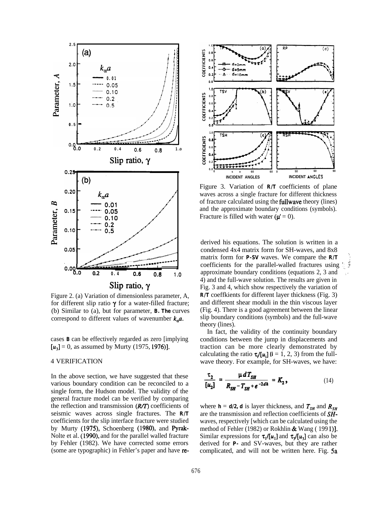

Figure 2. (a) Variation of dimensionless parameter, A, for different slip ratio  $\gamma$  for a water-filled fracture; (b) Similar to (a), but for parameter, **B. The** curves correspond to different values of wavenumber  $k_a a$ .

cases  $\bf{B}$  can be effectively regarded as zero [implying]  $[u_3] = 0$ , as assumed by Murty (1975, 1976)].

# **4 VERIFICATION**

In the above section, we have suggested that these various boundary condition can be reconciled to a single form, the Hudson model. The validity of the general fracture model can be verified by comparing the reflection and transmission (R/T) coefficients of seismic waves across single fractures. The R/T coefficients for the slip interface fracture were studied by Murty (1975), Schoenberg (1980), and Pyrak-Nolte et al. (1990), and for the parallel walled fracture by Fehler (1982). We have corrected some errors (some are typographic) in Fehler's paper and have re-



Figure 3. Variation of  $R/T$  coefficients of plane waves across a single fracture for different thickness of fracture calculated using the **fullwave** theory (lines) and the approximate boundary conditions (symbols). Fracture is filled with water  $(\mu' = 0)$ .

derived his equations. The solution is written in a condensed 4x4 matrix form for SH-waves, and 8x8 matrix form for  $P-SV$  waves. We compare the  $R/T$ coefficients for the parallel-walled fractures using approximate boundary conditions (equations 2, 3 and 4) and the full-wave solution. The results are given in Fig. 3 and 4, which show respectively the variation of  $R/T$  coeffkients for different layer thickness (Fig. 3) and different shear moduli in the thin viscous layer (Fig. 4). There is a good agreement between the linear slip boundary conditions (symbols) and the full-wave theory (lines).

In fact, the validity of the continuity boundary conditions between the jump in displacements and traction can be more clearly demonstrated by calculating the ratio  $\tau/[u_i]$  (i = 1, 2, 3) from the fullwave theory. For example, for SH-waves, we have:

$$
\frac{\tau_2}{[u_2]} = \frac{\mu d T_{SH}}{R_{SH} - T_{SH} + e^{-2dh}} = K_2,
$$
\n(14)

where  $h = d/2$ , d is layer thickness, and  $T_{SH}$  and  $R_{SH}$ are the transmission and reflection coefficients of SHwaves, respectively [which can be calculated using the method of Fehler (1982) or Rokhlin & Wang (1991). Similar expressions for  $\tau_1/[\mu_1]$  and  $\tau_2/[\mu_2]$  can also be derived for **P**- and SV-waves, but they are rather complicated, and will not be written here. Fig. 5a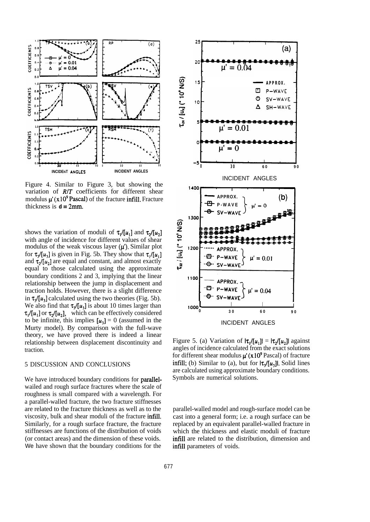

Figure 4. Similar to Figure 3, but showing the variation of *R/T* coefficients for different shear modulus  $\mu'(x10^9$  Pascal) of the fracture infill. Fracture thickness is  $d = 2$ mm.

shows the variation of moduli of  $\tau_1/[u_1]$  and  $\tau_2/[u_2]$ with angle of incidence for different values of shear modulus of the weak viscous layer  $(\mu')$ . Similar plot for  $\tau_{\nu}$ /[u<sub>1</sub>] is given in Fig. 5b. They show that  $\tau_{\nu}$ /[u<sub>1</sub>] and  $\tau_2/[u_2]$  are equal and constant, and almost exactly equal to those calculated using the approximate boundary conditions 2 and 3, implying that the linear relationship between the jump in displacement and traction holds. However, there is a slight difference in  $\tau_3/[u_3]$  calculated using the two theories (Fig. 5b). We also find that  $\tau_1/[\mu_1]$  is about 10 times larger than  $\tau_1/[u_1]$  or  $\tau_2/[u_2]$ , which can be effectively considered to be infinite, this implies  $[u_3] = 0$  (assumed in the Murty model). By comparison with the full-wave theory, we have proved there is indeed a linear relationship between displacement discontinuity and traction.

# 5 DISCUSSION AND CONCLUSIONS

We have introduced boundary conditions for **parallel**wailed and rough surface fractures where the scale of roughness is small compared with a wavelength. For a parallel-walled fracture, the two fracture stiffnesses are related to the fracture thickness as well as to the viscosity, bulk and shear moduli of the fracture infill. Similarly, for a rough surface fracture, the fracture stiffnesses are functions of the distribution of voids (or contact areas) and the dimension of these voids. We have shown that the boundary conditions for the



Figure 5. (a) Variation of  $|\tau_1/[\mu_1]| = |\tau_2/[\mu_2]|$  against angles of incidence calculated from the exact solutions for different shear modulus  $\mu' (x10^9$  Pascal) of fracture infill; (b) Similar to (a), but for  $|\tau_{\nu}| \mu_{\nu}$ ]. Solid lines are calculated using approximate boundary conditions. Symbols are numerical solutions.

parallel-walled model and rough-surface model can be cast into a general form; i.e. a rough surface can be replaced by an equivalent parallel-walled fracture in which the thickness and elastic moduli of fracture infill are related to the distribution, dimension and infill parameters of voids.